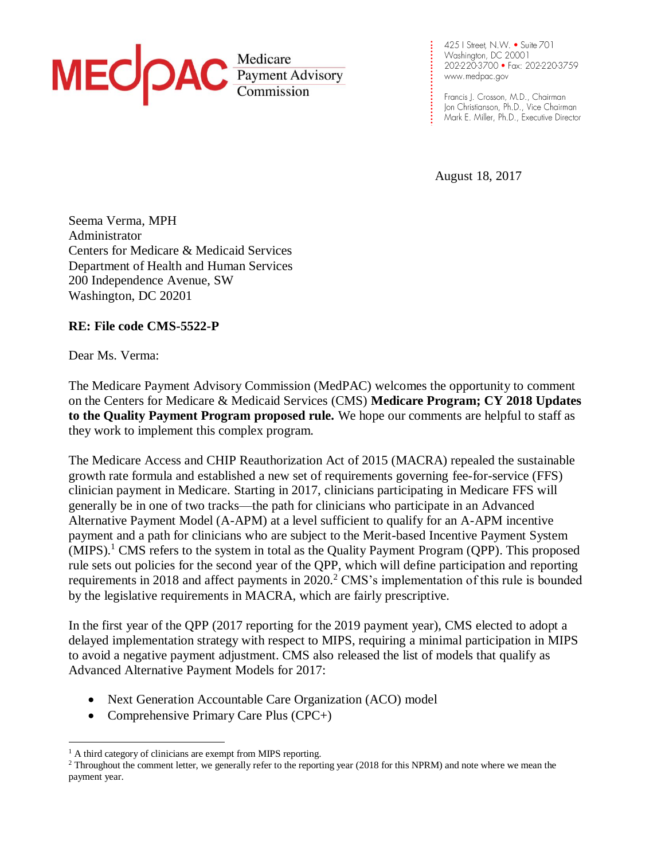

425 | Street, N.W. • Suite 701 www.medpac.gov

Francis J. Crosson, M.D., Chairman Jon Christianson, Ph.D., Vice Chairman Mark E. Miller, Ph.D., Executive Director

August 18, 2017

**.**

**. . . . . . . . . . . .**

**. . . . . . . . . . . . . .**

Seema Verma, MPH Administrator Centers for Medicare & Medicaid Services Department of Health and Human Services 200 Independence Avenue, SW Washington, DC 20201

### **RE: File code CMS-5522-P**

Dear Ms. Verma:

 $\overline{a}$ 

The Medicare Payment Advisory Commission (MedPAC) welcomes the opportunity to comment on the Centers for Medicare & Medicaid Services (CMS) **Medicare Program; CY 2018 Updates to the Quality Payment Program proposed rule.** We hope our comments are helpful to staff as they work to implement this complex program.

The Medicare Access and CHIP Reauthorization Act of 2015 (MACRA) repealed the sustainable growth rate formula and established a new set of requirements governing fee-for-service (FFS) clinician payment in Medicare. Starting in 2017, clinicians participating in Medicare FFS will generally be in one of two tracks—the path for clinicians who participate in an Advanced Alternative Payment Model (A-APM) at a level sufficient to qualify for an A-APM incentive payment and a path for clinicians who are subject to the Merit-based Incentive Payment System  $(MIPS).$ <sup>1</sup> CMS refers to the system in total as the Quality Payment Program (QPP). This proposed rule sets out policies for the second year of the QPP, which will define participation and reporting requirements in 2018 and affect payments in 2020.<sup>2</sup> CMS's implementation of this rule is bounded by the legislative requirements in MACRA, which are fairly prescriptive.

In the first year of the QPP (2017 reporting for the 2019 payment year), CMS elected to adopt a delayed implementation strategy with respect to MIPS, requiring a minimal participation in MIPS to avoid a negative payment adjustment. CMS also released the list of models that qualify as Advanced Alternative Payment Models for 2017:

- Next Generation Accountable Care Organization (ACO) model
- Comprehensive Primary Care Plus (CPC+)

<sup>&</sup>lt;sup>1</sup> A third category of clinicians are exempt from MIPS reporting.

<sup>&</sup>lt;sup>2</sup> Throughout the comment letter, we generally refer to the reporting year (2018 for this NPRM) and note where we mean the payment year.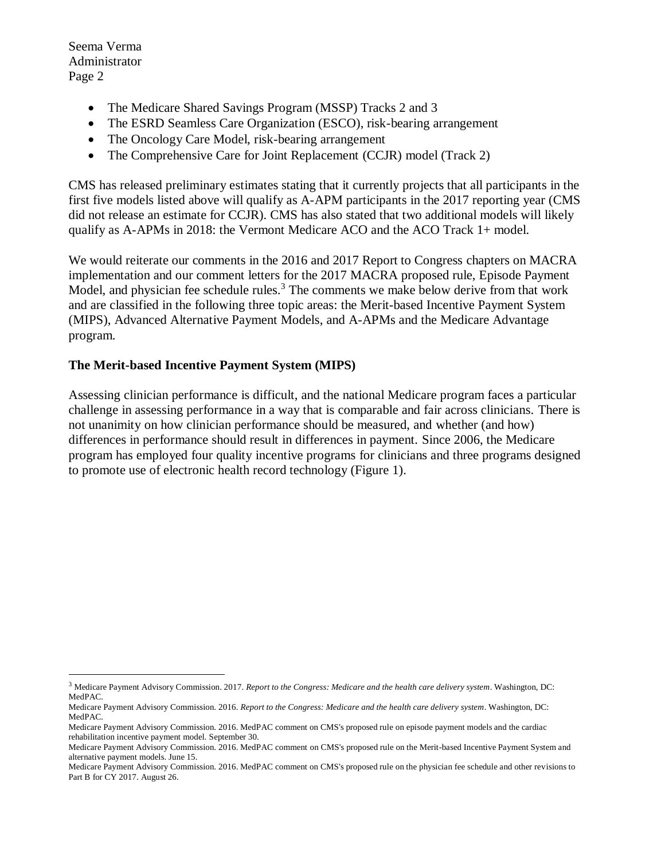$\overline{a}$ 

- The Medicare Shared Savings Program (MSSP) Tracks 2 and 3
- The ESRD Seamless Care Organization (ESCO), risk-bearing arrangement
- The Oncology Care Model, risk-bearing arrangement
- The Comprehensive Care for Joint Replacement (CCJR) model (Track 2)

CMS has released preliminary estimates stating that it currently projects that all participants in the first five models listed above will qualify as A-APM participants in the 2017 reporting year (CMS did not release an estimate for CCJR). CMS has also stated that two additional models will likely qualify as A-APMs in 2018: the Vermont Medicare ACO and the ACO Track 1+ model.

We would reiterate our comments in the 2016 and 2017 Report to Congress chapters on MACRA implementation and our comment letters for the 2017 MACRA proposed rule, Episode Payment Model, and physician fee schedule rules.<sup>3</sup> The comments we make below derive from that work and are classified in the following three topic areas: the Merit-based Incentive Payment System (MIPS), Advanced Alternative Payment Models, and A-APMs and the Medicare Advantage program.

## **The Merit-based Incentive Payment System (MIPS)**

Assessing clinician performance is difficult, and the national Medicare program faces a particular challenge in assessing performance in a way that is comparable and fair across clinicians. There is not unanimity on how clinician performance should be measured, and whether (and how) differences in performance should result in differences in payment. Since 2006, the Medicare program has employed four quality incentive programs for clinicians and three programs designed to promote use of electronic health record technology (Figure 1).

<sup>3</sup> Medicare Payment Advisory Commission. 2017. *Report to the Congress: Medicare and the health care delivery system*. Washington, DC: MedPAC.

Medicare Payment Advisory Commission. 2016. *Report to the Congress: Medicare and the health care delivery system*. Washington, DC: MedPAC.

Medicare Payment Advisory Commission. 2016. MedPAC comment on CMS's proposed rule on episode payment models and the cardiac rehabilitation incentive payment model. September 30.

Medicare Payment Advisory Commission. 2016. MedPAC comment on CMS's proposed rule on the Merit-based Incentive Payment System and alternative payment models. June 15.

Medicare Payment Advisory Commission. 2016. MedPAC comment on CMS's proposed rule on the physician fee schedule and other revisions to Part B for CY 2017. August 26.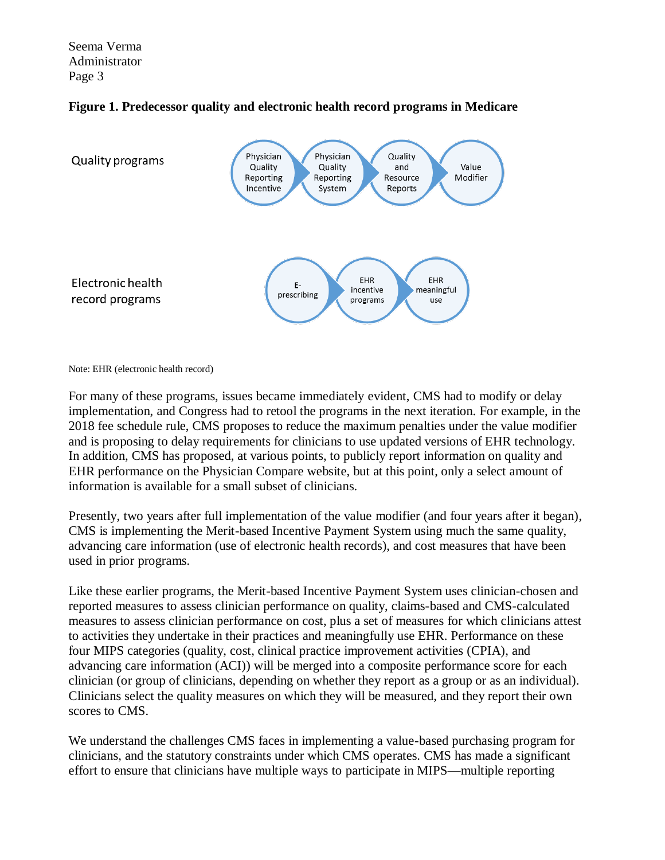



Note: EHR (electronic health record)

For many of these programs, issues became immediately evident, CMS had to modify or delay implementation, and Congress had to retool the programs in the next iteration. For example, in the 2018 fee schedule rule, CMS proposes to reduce the maximum penalties under the value modifier and is proposing to delay requirements for clinicians to use updated versions of EHR technology. In addition, CMS has proposed, at various points, to publicly report information on quality and EHR performance on the Physician Compare website, but at this point, only a select amount of information is available for a small subset of clinicians.

Presently, two years after full implementation of the value modifier (and four years after it began), CMS is implementing the Merit-based Incentive Payment System using much the same quality, advancing care information (use of electronic health records), and cost measures that have been used in prior programs.

Like these earlier programs, the Merit-based Incentive Payment System uses clinician-chosen and reported measures to assess clinician performance on quality, claims-based and CMS-calculated measures to assess clinician performance on cost, plus a set of measures for which clinicians attest to activities they undertake in their practices and meaningfully use EHR. Performance on these four MIPS categories (quality, cost, clinical practice improvement activities (CPIA), and advancing care information (ACI)) will be merged into a composite performance score for each clinician (or group of clinicians, depending on whether they report as a group or as an individual). Clinicians select the quality measures on which they will be measured, and they report their own scores to CMS.

We understand the challenges CMS faces in implementing a value-based purchasing program for clinicians, and the statutory constraints under which CMS operates. CMS has made a significant effort to ensure that clinicians have multiple ways to participate in MIPS—multiple reporting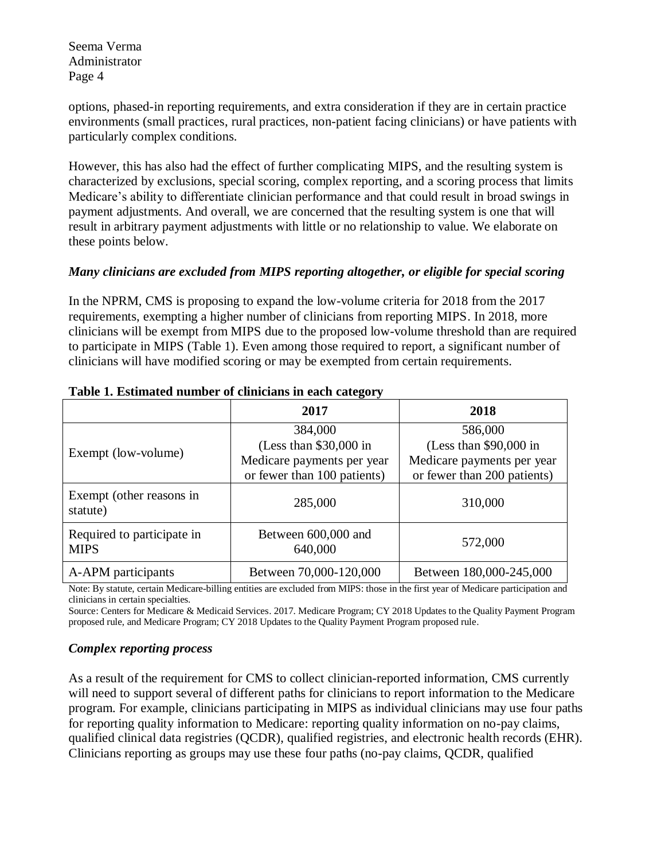options, phased-in reporting requirements, and extra consideration if they are in certain practice environments (small practices, rural practices, non-patient facing clinicians) or have patients with particularly complex conditions.

However, this has also had the effect of further complicating MIPS, and the resulting system is characterized by exclusions, special scoring, complex reporting, and a scoring process that limits Medicare's ability to differentiate clinician performance and that could result in broad swings in payment adjustments. And overall, we are concerned that the resulting system is one that will result in arbitrary payment adjustments with little or no relationship to value. We elaborate on these points below.

### *Many clinicians are excluded from MIPS reporting altogether, or eligible for special scoring*

In the NPRM, CMS is proposing to expand the low-volume criteria for 2018 from the 2017 requirements, exempting a higher number of clinicians from reporting MIPS. In 2018, more clinicians will be exempt from MIPS due to the proposed low-volume threshold than are required to participate in MIPS (Table 1). Even among those required to report, a significant number of clinicians will have modified scoring or may be exempted from certain requirements.

|                                           | 2017                                                                                            | 2018                                                                                            |
|-------------------------------------------|-------------------------------------------------------------------------------------------------|-------------------------------------------------------------------------------------------------|
| Exempt (low-volume)                       | 384,000<br>(Less than $$30,000$ in<br>Medicare payments per year<br>or fewer than 100 patients) | 586,000<br>(Less than $$90,000$ in<br>Medicare payments per year<br>or fewer than 200 patients) |
| Exempt (other reasons in<br>statute)      | 285,000                                                                                         | 310,000                                                                                         |
| Required to participate in<br><b>MIPS</b> | Between 600,000 and<br>640,000                                                                  | 572,000                                                                                         |
| A-APM participants                        | Between 70,000-120,000                                                                          | Between 180,000-245,000                                                                         |

#### **Table 1. Estimated number of clinicians in each category**

Note: By statute, certain Medicare-billing entities are excluded from MIPS: those in the first year of Medicare participation and clinicians in certain specialties.

Source: Centers for Medicare & Medicaid Services. 2017. Medicare Program; CY 2018 Updates to the Quality Payment Program proposed rule, and Medicare Program; CY 2018 Updates to the Quality Payment Program proposed rule.

#### *Complex reporting process*

As a result of the requirement for CMS to collect clinician-reported information, CMS currently will need to support several of different paths for clinicians to report information to the Medicare program. For example, clinicians participating in MIPS as individual clinicians may use four paths for reporting quality information to Medicare: reporting quality information on no-pay claims, qualified clinical data registries (QCDR), qualified registries, and electronic health records (EHR). Clinicians reporting as groups may use these four paths (no-pay claims, QCDR, qualified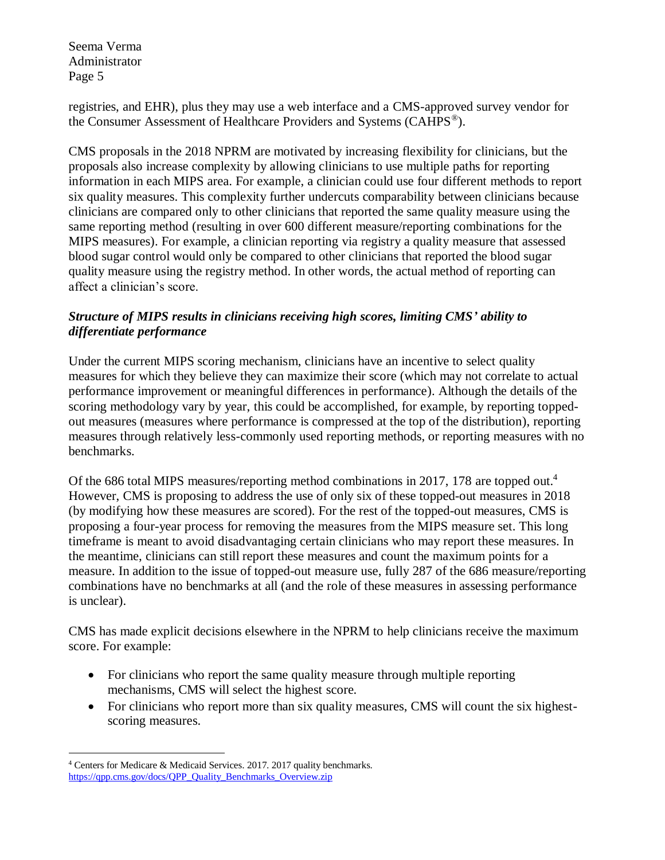registries, and EHR), plus they may use a web interface and a CMS-approved survey vendor for the Consumer Assessment of Healthcare Providers and Systems (CAHPS<sup>®</sup>).

CMS proposals in the 2018 NPRM are motivated by increasing flexibility for clinicians, but the proposals also increase complexity by allowing clinicians to use multiple paths for reporting information in each MIPS area. For example, a clinician could use four different methods to report six quality measures. This complexity further undercuts comparability between clinicians because clinicians are compared only to other clinicians that reported the same quality measure using the same reporting method (resulting in over 600 different measure/reporting combinations for the MIPS measures). For example, a clinician reporting via registry a quality measure that assessed blood sugar control would only be compared to other clinicians that reported the blood sugar quality measure using the registry method. In other words, the actual method of reporting can affect a clinician's score.

## *Structure of MIPS results in clinicians receiving high scores, limiting CMS' ability to differentiate performance*

Under the current MIPS scoring mechanism, clinicians have an incentive to select quality measures for which they believe they can maximize their score (which may not correlate to actual performance improvement or meaningful differences in performance). Although the details of the scoring methodology vary by year, this could be accomplished, for example, by reporting toppedout measures (measures where performance is compressed at the top of the distribution), reporting measures through relatively less-commonly used reporting methods, or reporting measures with no benchmarks.

Of the 686 total MIPS measures/reporting method combinations in 2017, 178 are topped out. 4 However, CMS is proposing to address the use of only six of these topped-out measures in 2018 (by modifying how these measures are scored). For the rest of the topped-out measures, CMS is proposing a four-year process for removing the measures from the MIPS measure set. This long timeframe is meant to avoid disadvantaging certain clinicians who may report these measures. In the meantime, clinicians can still report these measures and count the maximum points for a measure. In addition to the issue of topped-out measure use, fully 287 of the 686 measure/reporting combinations have no benchmarks at all (and the role of these measures in assessing performance is unclear).

CMS has made explicit decisions elsewhere in the NPRM to help clinicians receive the maximum score. For example:

- For clinicians who report the same quality measure through multiple reporting mechanisms, CMS will select the highest score.
- For clinicians who report more than six quality measures, CMS will count the six highestscoring measures.

 $\overline{a}$ 

<sup>4</sup> Centers for Medicare & Medicaid Services. 2017. 2017 quality benchmarks. [https://qpp.cms.gov/docs/QPP\\_Quality\\_Benchmarks\\_Overview.zip](https://qpp.cms.gov/docs/QPP_Quality_Benchmarks_Overview.zip)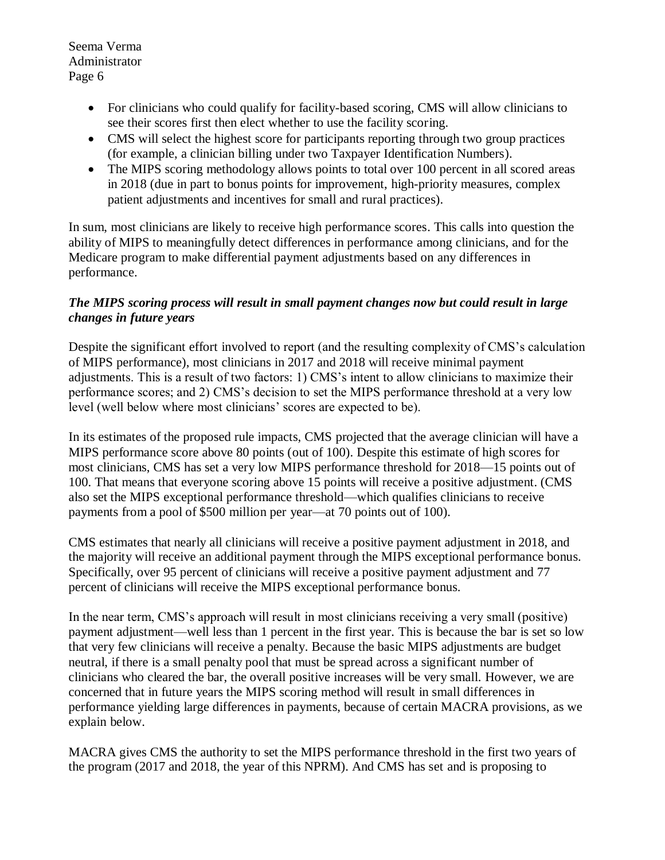- For clinicians who could qualify for facility-based scoring, CMS will allow clinicians to see their scores first then elect whether to use the facility scoring.
- CMS will select the highest score for participants reporting through two group practices (for example, a clinician billing under two Taxpayer Identification Numbers).
- The MIPS scoring methodology allows points to total over 100 percent in all scored areas in 2018 (due in part to bonus points for improvement, high-priority measures, complex patient adjustments and incentives for small and rural practices).

In sum, most clinicians are likely to receive high performance scores. This calls into question the ability of MIPS to meaningfully detect differences in performance among clinicians, and for the Medicare program to make differential payment adjustments based on any differences in performance.

# *The MIPS scoring process will result in small payment changes now but could result in large changes in future years*

Despite the significant effort involved to report (and the resulting complexity of CMS's calculation of MIPS performance), most clinicians in 2017 and 2018 will receive minimal payment adjustments. This is a result of two factors: 1) CMS's intent to allow clinicians to maximize their performance scores; and 2) CMS's decision to set the MIPS performance threshold at a very low level (well below where most clinicians' scores are expected to be).

In its estimates of the proposed rule impacts, CMS projected that the average clinician will have a MIPS performance score above 80 points (out of 100). Despite this estimate of high scores for most clinicians, CMS has set a very low MIPS performance threshold for 2018—15 points out of 100. That means that everyone scoring above 15 points will receive a positive adjustment. (CMS also set the MIPS exceptional performance threshold—which qualifies clinicians to receive payments from a pool of \$500 million per year—at 70 points out of 100).

CMS estimates that nearly all clinicians will receive a positive payment adjustment in 2018, and the majority will receive an additional payment through the MIPS exceptional performance bonus. Specifically, over 95 percent of clinicians will receive a positive payment adjustment and 77 percent of clinicians will receive the MIPS exceptional performance bonus.

In the near term, CMS's approach will result in most clinicians receiving a very small (positive) payment adjustment—well less than 1 percent in the first year. This is because the bar is set so low that very few clinicians will receive a penalty. Because the basic MIPS adjustments are budget neutral, if there is a small penalty pool that must be spread across a significant number of clinicians who cleared the bar, the overall positive increases will be very small. However, we are concerned that in future years the MIPS scoring method will result in small differences in performance yielding large differences in payments, because of certain MACRA provisions, as we explain below.

MACRA gives CMS the authority to set the MIPS performance threshold in the first two years of the program (2017 and 2018, the year of this NPRM). And CMS has set and is proposing to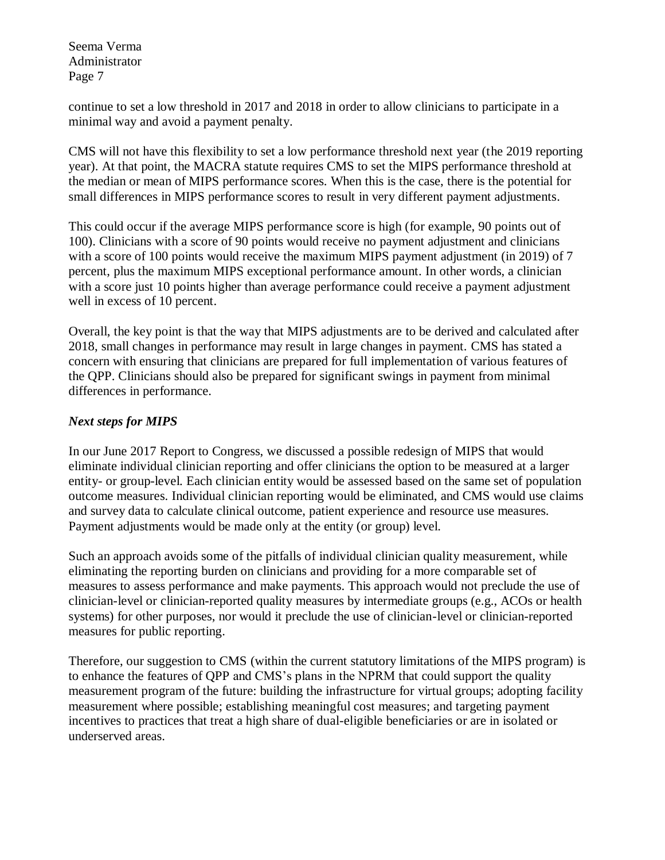continue to set a low threshold in 2017 and 2018 in order to allow clinicians to participate in a minimal way and avoid a payment penalty.

CMS will not have this flexibility to set a low performance threshold next year (the 2019 reporting year). At that point, the MACRA statute requires CMS to set the MIPS performance threshold at the median or mean of MIPS performance scores. When this is the case, there is the potential for small differences in MIPS performance scores to result in very different payment adjustments.

This could occur if the average MIPS performance score is high (for example, 90 points out of 100). Clinicians with a score of 90 points would receive no payment adjustment and clinicians with a score of 100 points would receive the maximum MIPS payment adjustment (in 2019) of 7 percent, plus the maximum MIPS exceptional performance amount. In other words, a clinician with a score just 10 points higher than average performance could receive a payment adjustment well in excess of 10 percent.

Overall, the key point is that the way that MIPS adjustments are to be derived and calculated after 2018, small changes in performance may result in large changes in payment. CMS has stated a concern with ensuring that clinicians are prepared for full implementation of various features of the QPP. Clinicians should also be prepared for significant swings in payment from minimal differences in performance.

# *Next steps for MIPS*

In our June 2017 Report to Congress, we discussed a possible redesign of MIPS that would eliminate individual clinician reporting and offer clinicians the option to be measured at a larger entity- or group-level. Each clinician entity would be assessed based on the same set of population outcome measures. Individual clinician reporting would be eliminated, and CMS would use claims and survey data to calculate clinical outcome, patient experience and resource use measures. Payment adjustments would be made only at the entity (or group) level.

Such an approach avoids some of the pitfalls of individual clinician quality measurement, while eliminating the reporting burden on clinicians and providing for a more comparable set of measures to assess performance and make payments. This approach would not preclude the use of clinician-level or clinician-reported quality measures by intermediate groups (e.g., ACOs or health systems) for other purposes, nor would it preclude the use of clinician-level or clinician-reported measures for public reporting.

Therefore, our suggestion to CMS (within the current statutory limitations of the MIPS program) is to enhance the features of QPP and CMS's plans in the NPRM that could support the quality measurement program of the future: building the infrastructure for virtual groups; adopting facility measurement where possible; establishing meaningful cost measures; and targeting payment incentives to practices that treat a high share of dual-eligible beneficiaries or are in isolated or underserved areas.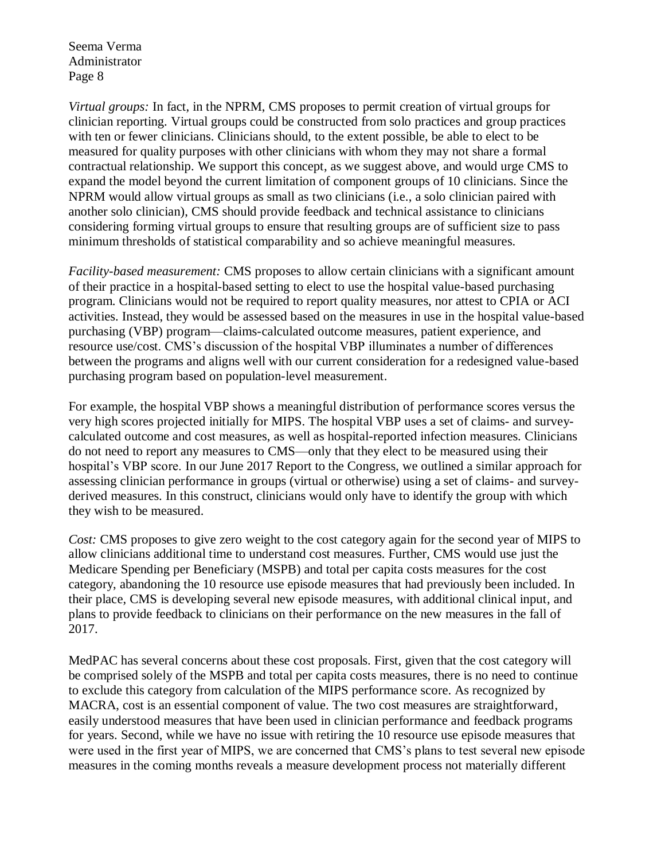*Virtual groups:* In fact, in the NPRM, CMS proposes to permit creation of virtual groups for clinician reporting. Virtual groups could be constructed from solo practices and group practices with ten or fewer clinicians. Clinicians should, to the extent possible, be able to elect to be measured for quality purposes with other clinicians with whom they may not share a formal contractual relationship. We support this concept, as we suggest above, and would urge CMS to expand the model beyond the current limitation of component groups of 10 clinicians. Since the NPRM would allow virtual groups as small as two clinicians (i.e., a solo clinician paired with another solo clinician), CMS should provide feedback and technical assistance to clinicians considering forming virtual groups to ensure that resulting groups are of sufficient size to pass minimum thresholds of statistical comparability and so achieve meaningful measures.

*Facility-based measurement:* CMS proposes to allow certain clinicians with a significant amount of their practice in a hospital-based setting to elect to use the hospital value-based purchasing program. Clinicians would not be required to report quality measures, nor attest to CPIA or ACI activities. Instead, they would be assessed based on the measures in use in the hospital value-based purchasing (VBP) program—claims-calculated outcome measures, patient experience, and resource use/cost. CMS's discussion of the hospital VBP illuminates a number of differences between the programs and aligns well with our current consideration for a redesigned value-based purchasing program based on population-level measurement.

For example, the hospital VBP shows a meaningful distribution of performance scores versus the very high scores projected initially for MIPS. The hospital VBP uses a set of claims- and surveycalculated outcome and cost measures, as well as hospital-reported infection measures. Clinicians do not need to report any measures to CMS—only that they elect to be measured using their hospital's VBP score. In our June 2017 Report to the Congress, we outlined a similar approach for assessing clinician performance in groups (virtual or otherwise) using a set of claims- and surveyderived measures. In this construct, clinicians would only have to identify the group with which they wish to be measured.

*Cost:* CMS proposes to give zero weight to the cost category again for the second year of MIPS to allow clinicians additional time to understand cost measures. Further, CMS would use just the Medicare Spending per Beneficiary (MSPB) and total per capita costs measures for the cost category, abandoning the 10 resource use episode measures that had previously been included. In their place, CMS is developing several new episode measures, with additional clinical input, and plans to provide feedback to clinicians on their performance on the new measures in the fall of 2017.

MedPAC has several concerns about these cost proposals. First, given that the cost category will be comprised solely of the MSPB and total per capita costs measures, there is no need to continue to exclude this category from calculation of the MIPS performance score. As recognized by MACRA, cost is an essential component of value. The two cost measures are straightforward, easily understood measures that have been used in clinician performance and feedback programs for years. Second, while we have no issue with retiring the 10 resource use episode measures that were used in the first year of MIPS, we are concerned that CMS's plans to test several new episode measures in the coming months reveals a measure development process not materially different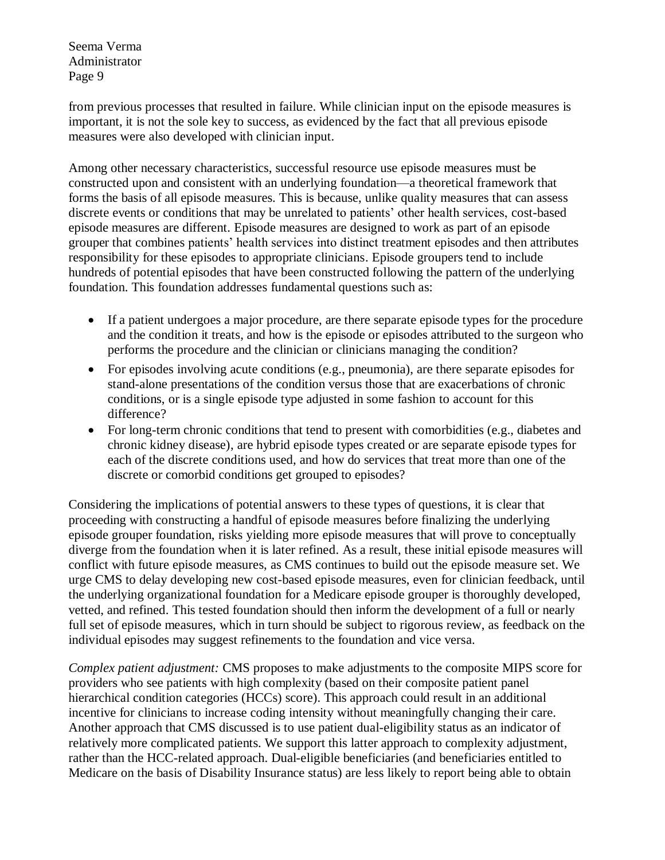from previous processes that resulted in failure. While clinician input on the episode measures is important, it is not the sole key to success, as evidenced by the fact that all previous episode measures were also developed with clinician input.

Among other necessary characteristics, successful resource use episode measures must be constructed upon and consistent with an underlying foundation—a theoretical framework that forms the basis of all episode measures. This is because, unlike quality measures that can assess discrete events or conditions that may be unrelated to patients' other health services, cost-based episode measures are different. Episode measures are designed to work as part of an episode grouper that combines patients' health services into distinct treatment episodes and then attributes responsibility for these episodes to appropriate clinicians. Episode groupers tend to include hundreds of potential episodes that have been constructed following the pattern of the underlying foundation. This foundation addresses fundamental questions such as:

- If a patient undergoes a major procedure, are there separate episode types for the procedure and the condition it treats, and how is the episode or episodes attributed to the surgeon who performs the procedure and the clinician or clinicians managing the condition?
- For episodes involving acute conditions (e.g., pneumonia), are there separate episodes for stand-alone presentations of the condition versus those that are exacerbations of chronic conditions, or is a single episode type adjusted in some fashion to account for this difference?
- For long-term chronic conditions that tend to present with comorbidities (e.g., diabetes and chronic kidney disease), are hybrid episode types created or are separate episode types for each of the discrete conditions used, and how do services that treat more than one of the discrete or comorbid conditions get grouped to episodes?

Considering the implications of potential answers to these types of questions, it is clear that proceeding with constructing a handful of episode measures before finalizing the underlying episode grouper foundation, risks yielding more episode measures that will prove to conceptually diverge from the foundation when it is later refined. As a result, these initial episode measures will conflict with future episode measures, as CMS continues to build out the episode measure set. We urge CMS to delay developing new cost-based episode measures, even for clinician feedback, until the underlying organizational foundation for a Medicare episode grouper is thoroughly developed, vetted, and refined. This tested foundation should then inform the development of a full or nearly full set of episode measures, which in turn should be subject to rigorous review, as feedback on the individual episodes may suggest refinements to the foundation and vice versa.

*Complex patient adjustment:* CMS proposes to make adjustments to the composite MIPS score for providers who see patients with high complexity (based on their composite patient panel hierarchical condition categories (HCCs) score). This approach could result in an additional incentive for clinicians to increase coding intensity without meaningfully changing their care. Another approach that CMS discussed is to use patient dual-eligibility status as an indicator of relatively more complicated patients. We support this latter approach to complexity adjustment, rather than the HCC-related approach. Dual-eligible beneficiaries (and beneficiaries entitled to Medicare on the basis of Disability Insurance status) are less likely to report being able to obtain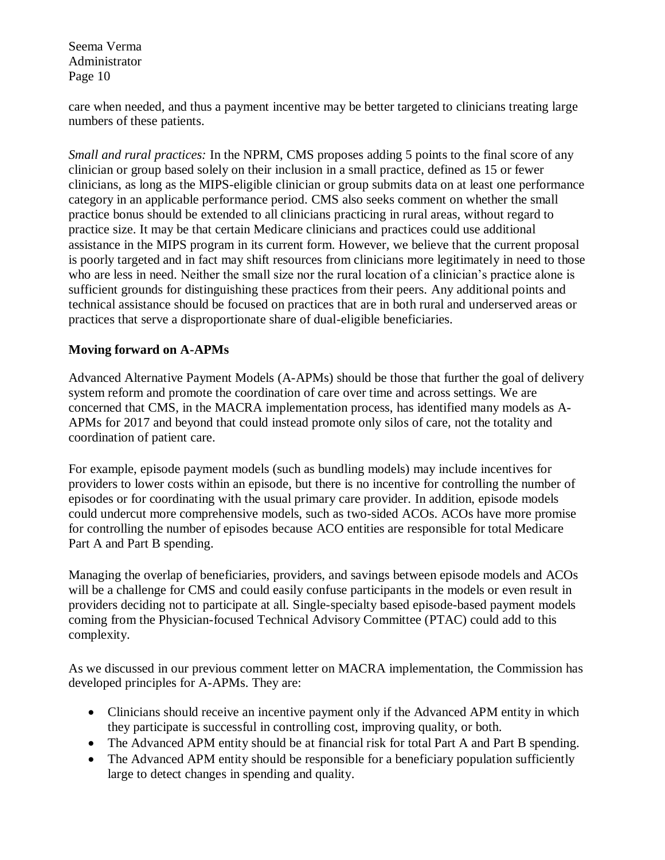care when needed, and thus a payment incentive may be better targeted to clinicians treating large numbers of these patients.

*Small and rural practices:* In the NPRM, CMS proposes adding 5 points to the final score of any clinician or group based solely on their inclusion in a small practice, defined as 15 or fewer clinicians, as long as the MIPS-eligible clinician or group submits data on at least one performance category in an applicable performance period. CMS also seeks comment on whether the small practice bonus should be extended to all clinicians practicing in rural areas, without regard to practice size. It may be that certain Medicare clinicians and practices could use additional assistance in the MIPS program in its current form. However, we believe that the current proposal is poorly targeted and in fact may shift resources from clinicians more legitimately in need to those who are less in need. Neither the small size nor the rural location of a clinician's practice alone is sufficient grounds for distinguishing these practices from their peers. Any additional points and technical assistance should be focused on practices that are in both rural and underserved areas or practices that serve a disproportionate share of dual-eligible beneficiaries.

## **Moving forward on A-APMs**

Advanced Alternative Payment Models (A-APMs) should be those that further the goal of delivery system reform and promote the coordination of care over time and across settings. We are concerned that CMS, in the MACRA implementation process, has identified many models as A-APMs for 2017 and beyond that could instead promote only silos of care, not the totality and coordination of patient care.

For example, episode payment models (such as bundling models) may include incentives for providers to lower costs within an episode, but there is no incentive for controlling the number of episodes or for coordinating with the usual primary care provider. In addition, episode models could undercut more comprehensive models, such as two-sided ACOs. ACOs have more promise for controlling the number of episodes because ACO entities are responsible for total Medicare Part A and Part B spending.

Managing the overlap of beneficiaries, providers, and savings between episode models and ACOs will be a challenge for CMS and could easily confuse participants in the models or even result in providers deciding not to participate at all. Single-specialty based episode-based payment models coming from the Physician-focused Technical Advisory Committee (PTAC) could add to this complexity.

As we discussed in our previous comment letter on MACRA implementation, the Commission has developed principles for A-APMs. They are:

- Clinicians should receive an incentive payment only if the Advanced APM entity in which they participate is successful in controlling cost, improving quality, or both.
- The Advanced APM entity should be at financial risk for total Part A and Part B spending.
- The Advanced APM entity should be responsible for a beneficiary population sufficiently large to detect changes in spending and quality.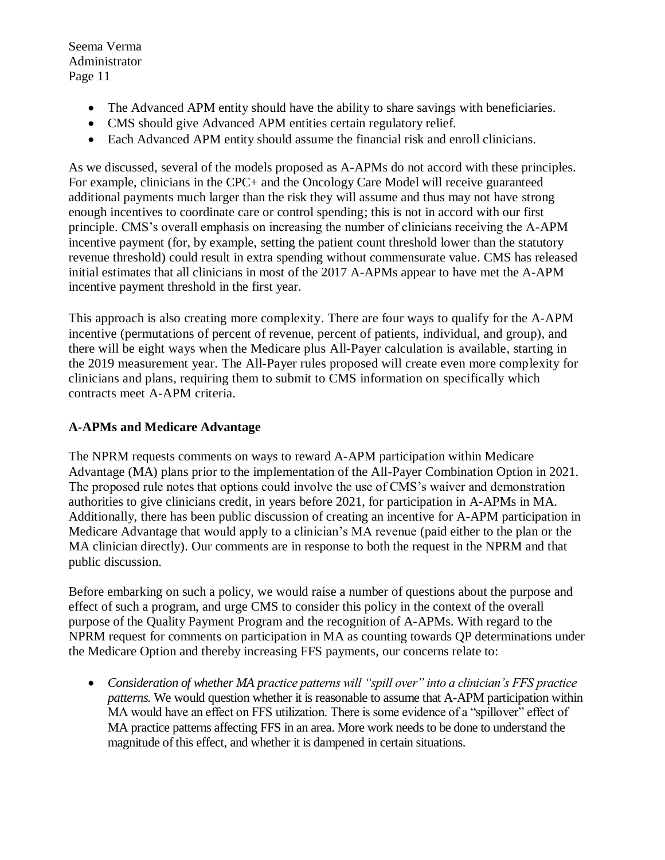- The Advanced APM entity should have the ability to share savings with beneficiaries.
- CMS should give Advanced APM entities certain regulatory relief.
- Each Advanced APM entity should assume the financial risk and enroll clinicians.

As we discussed, several of the models proposed as A-APMs do not accord with these principles. For example, clinicians in the CPC+ and the Oncology Care Model will receive guaranteed additional payments much larger than the risk they will assume and thus may not have strong enough incentives to coordinate care or control spending; this is not in accord with our first principle. CMS's overall emphasis on increasing the number of clinicians receiving the A-APM incentive payment (for, by example, setting the patient count threshold lower than the statutory revenue threshold) could result in extra spending without commensurate value. CMS has released initial estimates that all clinicians in most of the 2017 A-APMs appear to have met the A-APM incentive payment threshold in the first year.

This approach is also creating more complexity. There are four ways to qualify for the A-APM incentive (permutations of percent of revenue, percent of patients, individual, and group), and there will be eight ways when the Medicare plus All-Payer calculation is available, starting in the 2019 measurement year. The All-Payer rules proposed will create even more complexity for clinicians and plans, requiring them to submit to CMS information on specifically which contracts meet A-APM criteria.

# **A-APMs and Medicare Advantage**

The NPRM requests comments on ways to reward A-APM participation within Medicare Advantage (MA) plans prior to the implementation of the All-Payer Combination Option in 2021. The proposed rule notes that options could involve the use of CMS's waiver and demonstration authorities to give clinicians credit, in years before 2021, for participation in A-APMs in MA. Additionally, there has been public discussion of creating an incentive for A-APM participation in Medicare Advantage that would apply to a clinician's MA revenue (paid either to the plan or the MA clinician directly). Our comments are in response to both the request in the NPRM and that public discussion.

Before embarking on such a policy, we would raise a number of questions about the purpose and effect of such a program, and urge CMS to consider this policy in the context of the overall purpose of the Quality Payment Program and the recognition of A-APMs. With regard to the NPRM request for comments on participation in MA as counting towards QP determinations under the Medicare Option and thereby increasing FFS payments, our concerns relate to:

 *Consideration of whether MA practice patterns will "spill over" into a clinician's FFS practice patterns.* We would question whether it is reasonable to assume that A-APM participation within MA would have an effect on FFS utilization. There is some evidence of a "spillover" effect of MA practice patterns affecting FFS in an area. More work needs to be done to understand the magnitude of this effect, and whether it is dampened in certain situations.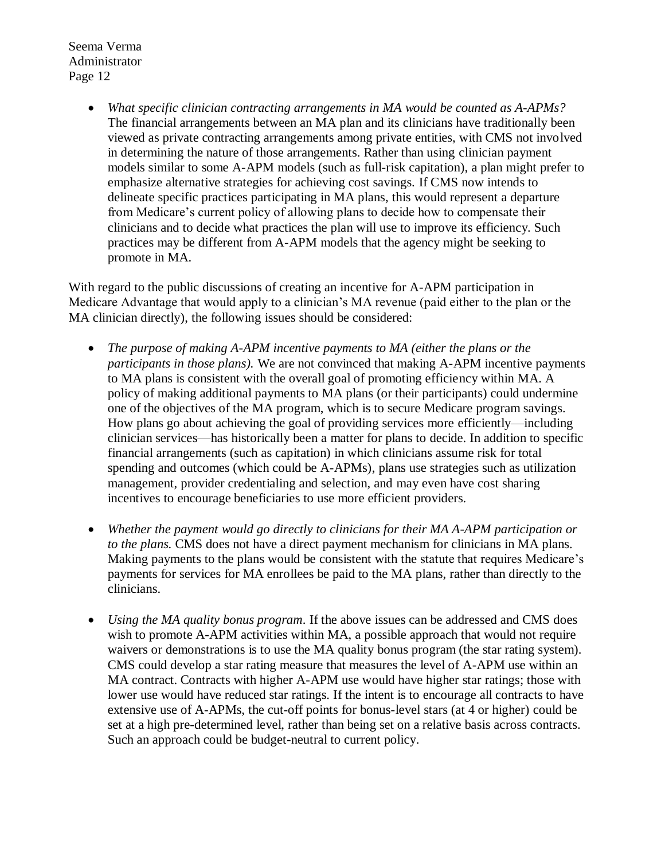> *What specific clinician contracting arrangements in MA would be counted as A-APMs?* The financial arrangements between an MA plan and its clinicians have traditionally been viewed as private contracting arrangements among private entities, with CMS not involved in determining the nature of those arrangements. Rather than using clinician payment models similar to some A-APM models (such as full-risk capitation), a plan might prefer to emphasize alternative strategies for achieving cost savings. If CMS now intends to delineate specific practices participating in MA plans, this would represent a departure from Medicare's current policy of allowing plans to decide how to compensate their clinicians and to decide what practices the plan will use to improve its efficiency. Such practices may be different from A-APM models that the agency might be seeking to promote in MA.

With regard to the public discussions of creating an incentive for A-APM participation in Medicare Advantage that would apply to a clinician's MA revenue (paid either to the plan or the MA clinician directly), the following issues should be considered:

- *The purpose of making A-APM incentive payments to MA (either the plans or the participants in those plans).* We are not convinced that making A-APM incentive payments to MA plans is consistent with the overall goal of promoting efficiency within MA. A policy of making additional payments to MA plans (or their participants) could undermine one of the objectives of the MA program, which is to secure Medicare program savings. How plans go about achieving the goal of providing services more efficiently—including clinician services—has historically been a matter for plans to decide. In addition to specific financial arrangements (such as capitation) in which clinicians assume risk for total spending and outcomes (which could be A-APMs), plans use strategies such as utilization management, provider credentialing and selection, and may even have cost sharing incentives to encourage beneficiaries to use more efficient providers.
- *Whether the payment would go directly to clinicians for their MA A-APM participation or to the plans.* CMS does not have a direct payment mechanism for clinicians in MA plans. Making payments to the plans would be consistent with the statute that requires Medicare's payments for services for MA enrollees be paid to the MA plans, rather than directly to the clinicians.
- *Using the MA quality bonus program*. If the above issues can be addressed and CMS does wish to promote A-APM activities within MA, a possible approach that would not require waivers or demonstrations is to use the MA quality bonus program (the star rating system). CMS could develop a star rating measure that measures the level of A-APM use within an MA contract. Contracts with higher A-APM use would have higher star ratings; those with lower use would have reduced star ratings. If the intent is to encourage all contracts to have extensive use of A-APMs, the cut-off points for bonus-level stars (at 4 or higher) could be set at a high pre-determined level, rather than being set on a relative basis across contracts. Such an approach could be budget-neutral to current policy.